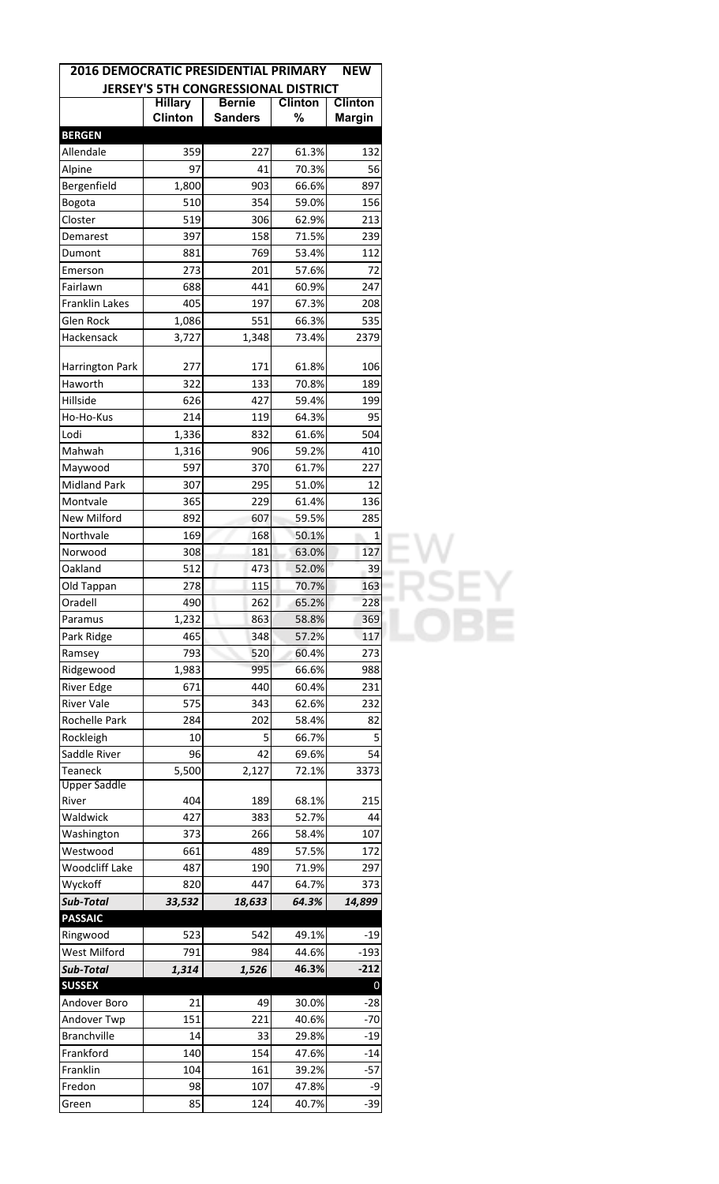| <b>2016 DEMOCRATIC PRESIDENTIAL PRIMARY</b> |                |                                     |                | <b>NEW</b>     |
|---------------------------------------------|----------------|-------------------------------------|----------------|----------------|
|                                             |                | JERSEY'S 5TH CONGRESSIONAL DISTRICT |                |                |
|                                             | <b>Hillary</b> | <b>Bernie</b>                       | <b>Clinton</b> | <b>Clinton</b> |
|                                             | <b>Clinton</b> | <b>Sanders</b>                      | %              | <b>Margin</b>  |
| <b>BERGEN</b>                               |                |                                     |                |                |
| Allendale                                   | 359            | 227                                 | 61.3%          | 132            |
| Alpine                                      | 97             | 41                                  | 70.3%          | 56             |
| Bergenfield                                 | 1,800          | 903                                 | 66.6%          | 897            |
| Bogota                                      | 510            | 354                                 | 59.0%          | 156            |
| Closter                                     | 519            | 306                                 | 62.9%          | 213            |
| Demarest                                    | 397            | 158                                 | 71.5%          | 239            |
| Dumont                                      | 881            | 769                                 | 53.4%          | 112            |
| Emerson                                     | 273            | 201                                 | 57.6%          | 72             |
| Fairlawn                                    | 688            | 441                                 | 60.9%          | 247            |
| Franklin Lakes                              | 405            | 197                                 | 67.3%          | 208            |
| Glen Rock                                   | 1,086          | 551                                 | 66.3%          | 535            |
| Hackensack                                  | 3,727          | 1,348                               | 73.4%          | 2379           |
| <b>Harrington Park</b>                      | 277            | 171                                 | 61.8%          | 106            |
| Haworth                                     | 322            | 133                                 | 70.8%          | 189            |
| Hillside                                    | 626            | 427                                 | 59.4%          | 199            |
| Ho-Ho-Kus                                   | 214            | 119                                 | 64.3%          | 95             |
| Lodi                                        | 1,336          | 832                                 | 61.6%          | 504            |
| Mahwah                                      | 1,316          | 906                                 | 59.2%          | 410            |
| Maywood                                     | 597            | 370                                 | 61.7%          | 227            |
| <b>Midland Park</b>                         | 307            | 295                                 | 51.0%          | 12             |
| Montvale                                    | 365            | 229                                 | 61.4%          | 136            |
| New Milford                                 | 892            | 607                                 | 59.5%          | 285            |
| Northvale                                   | 169            | 168                                 | 50.1%          | 1              |
| Norwood                                     | 308            | 181                                 | 63.0%          | 127            |
| Oakland                                     | 512            | 473                                 | 52.0%          | 39             |
| Old Tappan                                  | 278            | 115                                 | 70.7%          | 163            |
| Oradell                                     | 490            | 262                                 | 65.2%          | 228            |
| Paramus                                     | 1,232          | 863                                 | 58.8%          | 369            |
| Park Ridge                                  | 465            | 348                                 | 57.2%          | 117            |
|                                             | 793            | 520                                 | 60.4%          | 273            |
| Ramsey                                      |                | 995                                 |                | 988            |
| Ridgewood<br>River Edge                     | 1,983<br>671   | 440                                 | 66.6%<br>60.4% |                |
|                                             |                |                                     |                | 231            |
| <b>River Vale</b>                           | 575            | 343                                 | 62.6%          | 232            |
| Rochelle Park                               | 284            | 202                                 | 58.4%          | 82             |
| Rockleigh                                   | 10             | 5                                   | 66.7%          | 5              |
| Saddle River                                | 96             | 42                                  | 69.6%          | 54             |
| <b>Teaneck</b><br><b>Upper Saddle</b>       | 5,500          | 2,127                               | 72.1%          | 3373           |
| River                                       | 404            | 189                                 | 68.1%          | 215            |
| Waldwick                                    | 427            | 383                                 | 52.7%          | 44             |
| Washington                                  | 373            | 266                                 | 58.4%          | 107            |
| Westwood                                    | 661            | 489                                 | 57.5%          | 172            |
| Woodcliff Lake                              | 487            | 190                                 | 71.9%          | 297            |
| Wyckoff                                     | 820            | 447                                 | 64.7%          | 373            |
| Sub-Total                                   | 33,532         | 18,633                              | 64.3%          | 14,899         |
| <b>PASSAIC</b>                              |                |                                     |                |                |
| Ringwood                                    | 523            | 542                                 | 49.1%          | -19            |
| West Milford                                | 791            | 984                                 | 44.6%          | $-193$         |
| Sub-Total                                   | 1,314          | 1,526                               | 46.3%          | $-212$         |
| <b>SUSSEX</b>                               |                |                                     |                | 0              |
| Andover Boro                                | 21             | 49                                  | 30.0%          | -28            |
| Andover Twp                                 | 151            | 221                                 | 40.6%          | -70            |
| <b>Branchville</b>                          | 14             | 33                                  | 29.8%          | $-19$          |
| Frankford                                   | 140            | 154                                 | 47.6%          | $-14$          |
| Franklin                                    | 104            | 161                                 | 39.2%          | -57            |
| Fredon                                      | 98             | 107                                 | 47.8%          | -9             |
| Green                                       | 85             | 124                                 | 40.7%          | $-39$          |
|                                             |                |                                     |                |                |